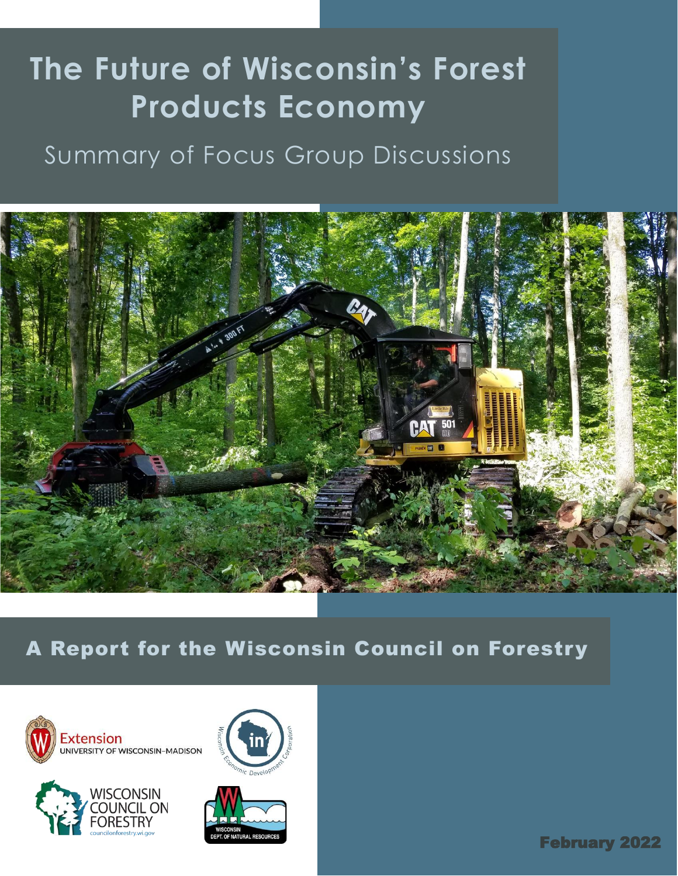# **The Future of Wisconsin's Forest Products Economy**

# Summary of Focus Group Discussions



A Report for the Wisconsin Council on Forestry







February 2022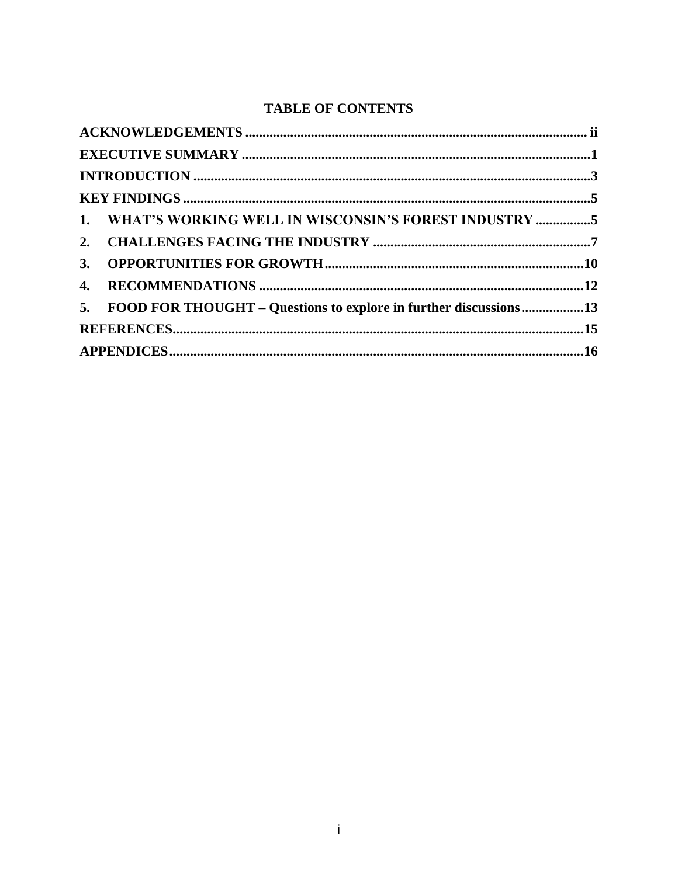# **TABLE OF CONTENTS**

| 1. WHAT'S WORKING WELL IN WISCONSIN'S FOREST INDUSTRY 5             |  |
|---------------------------------------------------------------------|--|
|                                                                     |  |
|                                                                     |  |
|                                                                     |  |
| 5. FOOD FOR THOUGHT – Questions to explore in further discussions13 |  |
|                                                                     |  |
|                                                                     |  |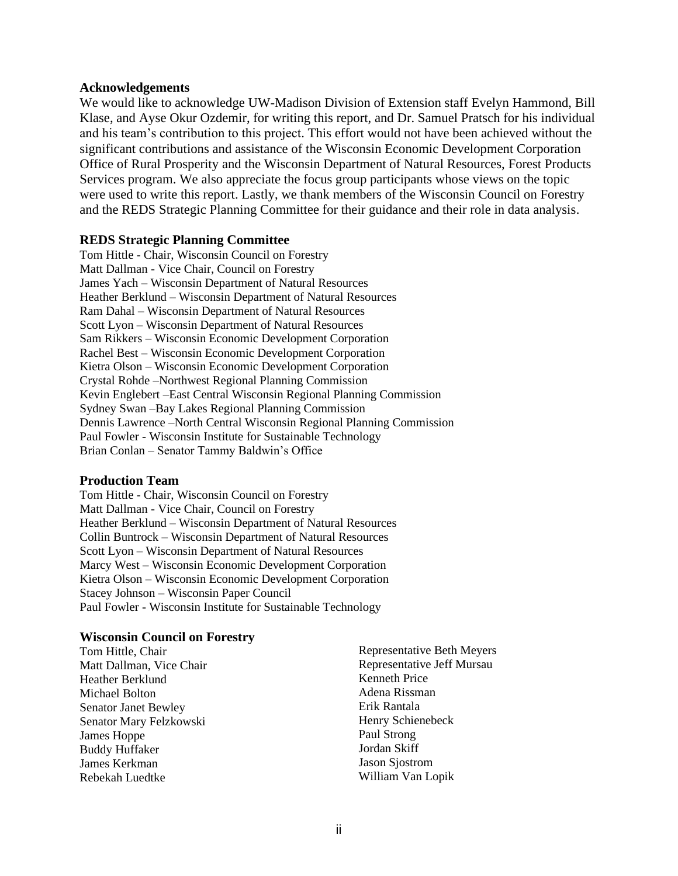#### **Acknowledgements**

We would like to acknowledge UW-Madison Division of Extension staff Evelyn Hammond, Bill Klase, and Ayse Okur Ozdemir, for writing this report, and Dr. Samuel Pratsch for his individual and his team's contribution to this project. This effort would not have been achieved without the significant contributions and assistance of the Wisconsin Economic Development Corporation Office of Rural Prosperity and the Wisconsin Department of Natural Resources, Forest Products Services program. We also appreciate the focus group participants whose views on the topic were used to write this report. Lastly, we thank members of the Wisconsin Council on Forestry and the REDS Strategic Planning Committee for their guidance and their role in data analysis.

#### **REDS Strategic Planning Committee**

Tom Hittle - Chair, Wisconsin Council on Forestry Matt Dallman - Vice Chair, Council on Forestry James Yach – Wisconsin Department of Natural Resources Heather Berklund – Wisconsin Department of Natural Resources Ram Dahal – Wisconsin Department of Natural Resources Scott Lyon – Wisconsin Department of Natural Resources Sam Rikkers – Wisconsin Economic Development Corporation Rachel Best – Wisconsin Economic Development Corporation Kietra Olson – Wisconsin Economic Development Corporation Crystal Rohde –Northwest Regional Planning Commission Kevin Englebert –East Central Wisconsin Regional Planning Commission Sydney Swan –Bay Lakes Regional Planning Commission Dennis Lawrence –North Central Wisconsin Regional Planning Commission Paul Fowler - Wisconsin Institute for Sustainable Technology Brian Conlan – Senator Tammy Baldwin's Office

#### **Production Team**

Tom Hittle - Chair, Wisconsin Council on Forestry Matt Dallman - Vice Chair, Council on Forestry Heather Berklund – Wisconsin Department of Natural Resources Collin Buntrock – Wisconsin Department of Natural Resources Scott Lyon – Wisconsin Department of Natural Resources Marcy West – Wisconsin Economic Development Corporation Kietra Olson – Wisconsin Economic Development Corporation Stacey Johnson – Wisconsin Paper Council Paul Fowler - Wisconsin Institute for Sustainable Technology

#### **Wisconsin Council on Forestry**

Tom Hittle, Chair Matt Dallman, Vice Chair Heather Berklund Michael Bolton Senator Janet Bewley Senator Mary Felzkowski James Hoppe Buddy Huffaker James Kerkman Rebekah Luedtke

Representative Beth Meyers Representative Jeff Mursau Kenneth Price Adena Rissman Erik Rantala Henry Schienebeck Paul Strong Jordan Skiff Jason Sjostrom William Van Lopik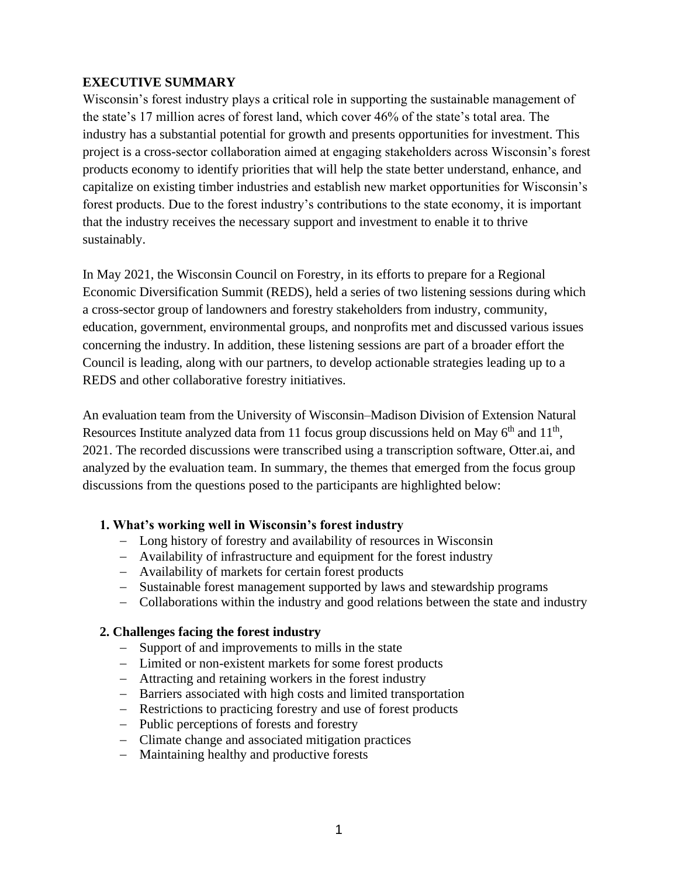# **EXECUTIVE SUMMARY**

Wisconsin's forest industry plays a critical role in supporting the sustainable management of the state's 17 million acres of forest land, which cover 46% of the state's total area. The industry has a substantial potential for growth and presents opportunities for investment. This project is a cross-sector collaboration aimed at engaging stakeholders across Wisconsin's forest products economy to identify priorities that will help the state better understand, enhance, and capitalize on existing timber industries and establish new market opportunities for Wisconsin's forest products. Due to the forest industry's contributions to the state economy, it is important that the industry receives the necessary support and investment to enable it to thrive sustainably.

In May 2021, the Wisconsin Council on Forestry, in its efforts to prepare for a Regional Economic Diversification Summit (REDS), held a series of two listening sessions during which a cross-sector group of landowners and forestry stakeholders from industry, community, education, government, environmental groups, and nonprofits met and discussed various issues concerning the industry. In addition, these listening sessions are part of a broader effort the Council is leading, along with our partners, to develop actionable strategies leading up to a REDS and other collaborative forestry initiatives.

An evaluation team from the University of Wisconsin–Madison Division of Extension Natural Resources Institute analyzed data from 11 focus group discussions held on May  $6<sup>th</sup>$  and  $11<sup>th</sup>$ , 2021. The recorded discussions were transcribed using a transcription software, Otter.ai, and analyzed by the evaluation team. In summary, the themes that emerged from the focus group discussions from the questions posed to the participants are highlighted below:

#### **1. What's working well in Wisconsin's forest industry**

- − Long history of forestry and availability of resources in Wisconsin
- − Availability of infrastructure and equipment for the forest industry
- − Availability of markets for certain forest products
- − Sustainable forest management supported by laws and stewardship programs
- − Collaborations within the industry and good relations between the state and industry

# **2. Challenges facing the forest industry**

- − Support of and improvements to mills in the state
- − Limited or non-existent markets for some forest products
- − Attracting and retaining workers in the forest industry
- − Barriers associated with high costs and limited transportation
- − Restrictions to practicing forestry and use of forest products
- − Public perceptions of forests and forestry
- − Climate change and associated mitigation practices
- − Maintaining healthy and productive forests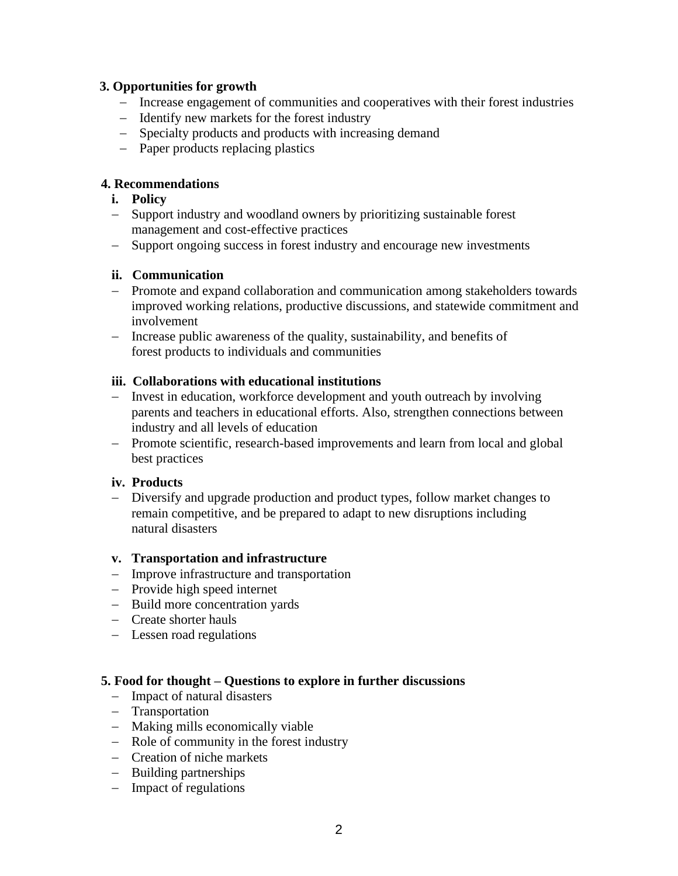# **3. Opportunities for growth**

- − Increase engagement of communities and cooperatives with their forest industries
- − Identify new markets for the forest industry
- − Specialty products and products with increasing demand
- − Paper products replacing plastics

#### **4. Recommendations**

- **i. Policy**
- − Support industry and woodland owners by prioritizing sustainable forest management and cost-effective practices
- − Support ongoing success in forest industry and encourage new investments

#### **ii. Communication**

- − Promote and expand collaboration and communication among stakeholders towards improved working relations, productive discussions, and statewide commitment and involvement
- − Increase public awareness of the quality, sustainability, and benefits of forest products to individuals and communities

# **iii. Collaborations with educational institutions**

- − Invest in education, workforce development and youth outreach by involving parents and teachers in educational efforts. Also, strengthen connections between industry and all levels of education
- − Promote scientific, research-based improvements and learn from local and global best practices

# **iv. Products**

− Diversify and upgrade production and product types, follow market changes to remain competitive, and be prepared to adapt to new disruptions including natural disasters

#### **v. Transportation and infrastructure**

- − Improve infrastructure and transportation
- − Provide high speed internet
- − Build more concentration yards
- − Create shorter hauls
- − Lessen road regulations

#### **5. Food for thought – Questions to explore in further discussions**

- − Impact of natural disasters
- − Transportation
- − Making mills economically viable
- − Role of community in the forest industry
- − Creation of niche markets
- − Building partnerships
- − Impact of regulations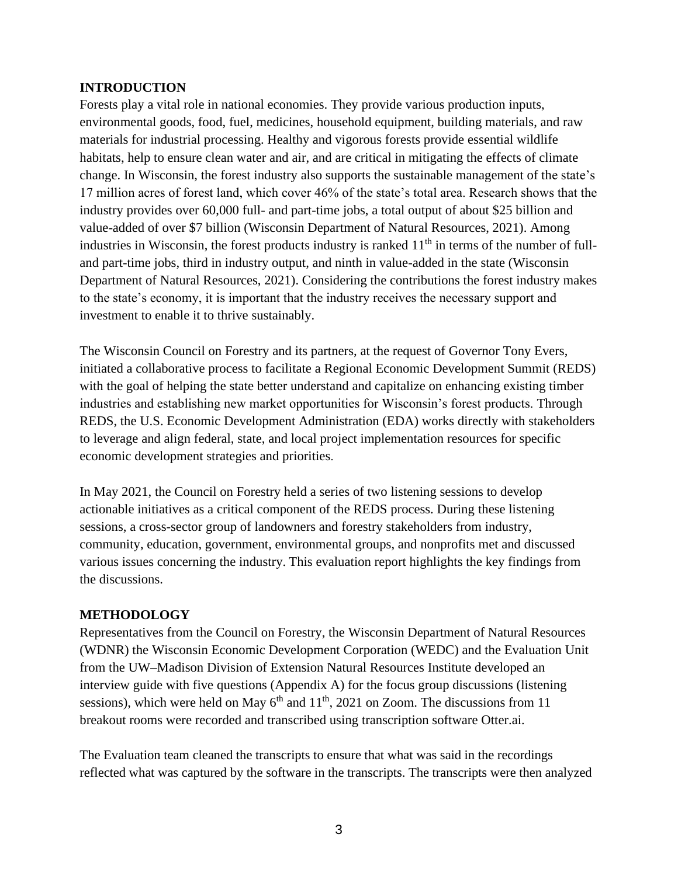# **INTRODUCTION**

Forests play a vital role in national economies. They provide various production inputs, environmental goods, food, fuel, medicines, household equipment, building materials, and raw materials for industrial processing. Healthy and vigorous forests provide essential wildlife habitats, help to ensure clean water and air, and are critical in mitigating the effects of climate change. In Wisconsin, the forest industry also supports the sustainable management of the state's 17 million acres of forest land, which cover 46% of the state's total area. Research shows that the industry provides over 60,000 full- and part-time jobs, a total output of about \$25 billion and value-added of over \$7 billion (Wisconsin Department of Natural Resources, 2021). Among industries in Wisconsin, the forest products industry is ranked  $11<sup>th</sup>$  in terms of the number of fulland part-time jobs, third in industry output, and ninth in value-added in the state (Wisconsin Department of Natural Resources, 2021). Considering the contributions the forest industry makes to the state's economy, it is important that the industry receives the necessary support and investment to enable it to thrive sustainably.

The Wisconsin Council on Forestry and its partners, at the request of Governor Tony Evers, initiated a collaborative process to facilitate a Regional Economic Development Summit (REDS) with the goal of helping the state better understand and capitalize on enhancing existing timber industries and establishing new market opportunities for Wisconsin's forest products. Through REDS, the U.S. Economic Development Administration (EDA) works directly with stakeholders to leverage and align federal, state, and local project implementation resources for specific economic development strategies and priorities.

In May 2021, the Council on Forestry held a series of two listening sessions to develop actionable initiatives as a critical component of the REDS process. During these listening sessions, a cross-sector group of landowners and forestry stakeholders from industry, community, education, government, environmental groups, and nonprofits met and discussed various issues concerning the industry. This evaluation report highlights the key findings from the discussions.

#### **METHODOLOGY**

Representatives from the Council on Forestry, the Wisconsin Department of Natural Resources (WDNR) the Wisconsin Economic Development Corporation (WEDC) and the Evaluation Unit from the UW–Madison Division of Extension Natural Resources Institute developed an interview guide with five questions (Appendix A) for the focus group discussions (listening sessions), which were held on May  $6<sup>th</sup>$  and  $11<sup>th</sup>$ , 2021 on Zoom. The discussions from 11 breakout rooms were recorded and transcribed using transcription software Otter.ai.

The Evaluation team cleaned the transcripts to ensure that what was said in the recordings reflected what was captured by the software in the transcripts. The transcripts were then analyzed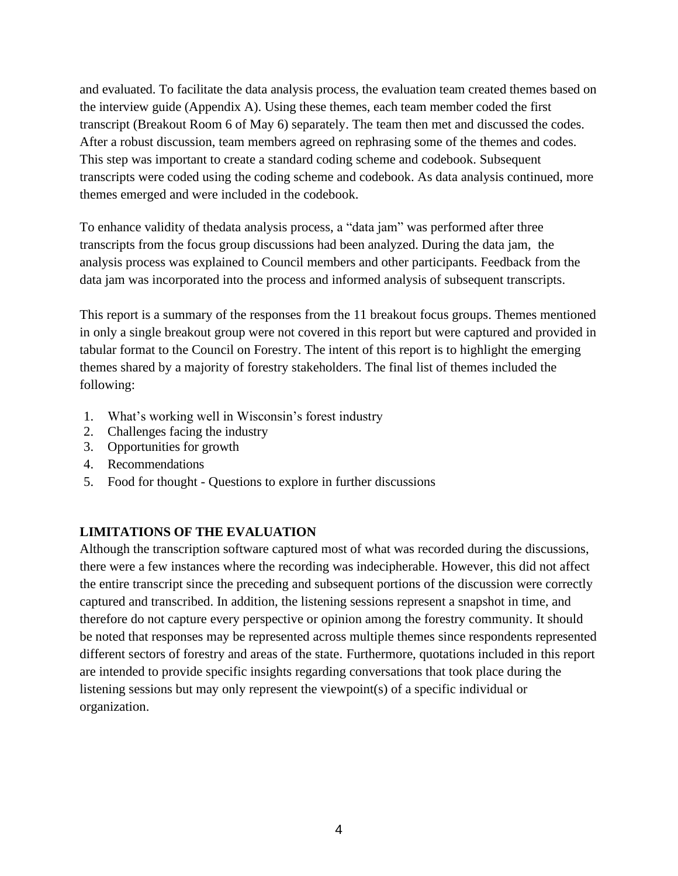and evaluated. To facilitate the data analysis process, the evaluation team created themes based on the interview guide (Appendix A). Using these themes, each team member coded the first transcript (Breakout Room 6 of May 6) separately. The team then met and discussed the codes. After a robust discussion, team members agreed on rephrasing some of the themes and codes. This step was important to create a standard coding scheme and codebook. Subsequent transcripts were coded using the coding scheme and codebook. As data analysis continued, more themes emerged and were included in the codebook.

To enhance validity of thedata analysis process, a "data jam" was performed after three transcripts from the focus group discussions had been analyzed. During the data jam, the analysis process was explained to Council members and other participants. Feedback from the data jam was incorporated into the process and informed analysis of subsequent transcripts.

This report is a summary of the responses from the 11 breakout focus groups. Themes mentioned in only a single breakout group were not covered in this report but were captured and provided in tabular format to the Council on Forestry. The intent of this report is to highlight the emerging themes shared by a majority of forestry stakeholders. The final list of themes included the following:

- 1. What's working well in Wisconsin's forest industry
- 2. Challenges facing the industry
- 3. Opportunities for growth
- 4. Recommendations
- 5. Food for thought Questions to explore in further discussions

#### **LIMITATIONS OF THE EVALUATION**

Although the transcription software captured most of what was recorded during the discussions, there were a few instances where the recording was indecipherable. However, this did not affect the entire transcript since the preceding and subsequent portions of the discussion were correctly captured and transcribed. In addition, the listening sessions represent a snapshot in time, and therefore do not capture every perspective or opinion among the forestry community. It should be noted that responses may be represented across multiple themes since respondents represented different sectors of forestry and areas of the state. Furthermore, quotations included in this report are intended to provide specific insights regarding conversations that took place during the listening sessions but may only represent the viewpoint(s) of a specific individual or organization.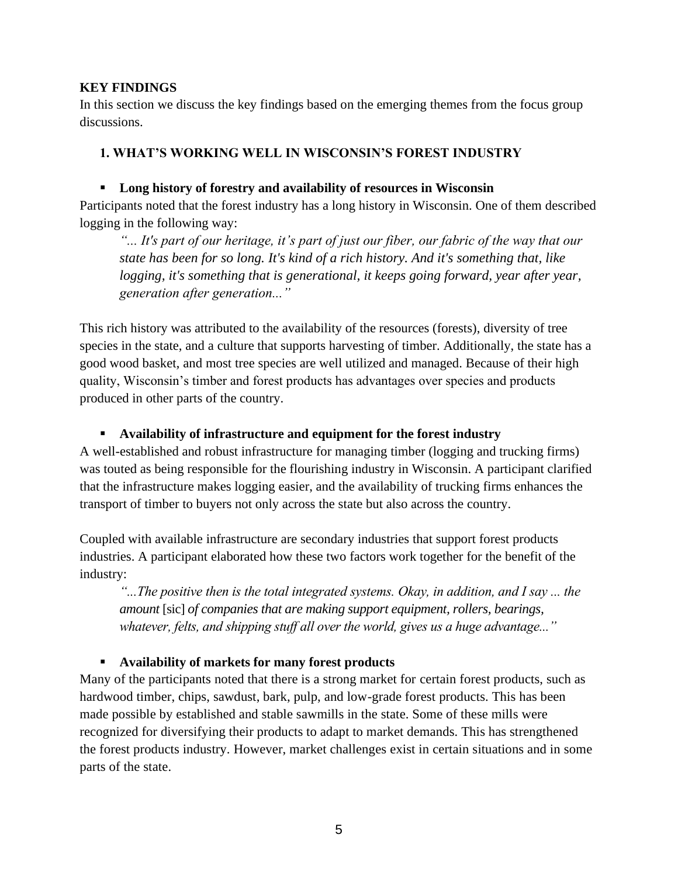# **KEY FINDINGS**

In this section we discuss the key findings based on the emerging themes from the focus group discussions.

# **1. WHAT'S WORKING WELL IN WISCONSIN'S FOREST INDUSTRY**

# ▪ **Long history of forestry and availability of resources in Wisconsin**

Participants noted that the forest industry has a long history in Wisconsin. One of them described logging in the following way:

*"... It's part of our heritage, it's part of just our fiber, our fabric of the way that our state has been for so long. It's kind of a rich history. And it's something that, like logging, it's something that is generational, it keeps going forward, year after year, generation after generation..."*

This rich history was attributed to the availability of the resources (forests), diversity of tree species in the state, and a culture that supports harvesting of timber. Additionally, the state has a good wood basket*,* and most tree species are well utilized and managed. Because of their high quality, Wisconsin's timber and forest products has advantages over species and products produced in other parts of the country.

# ▪ **Availability of infrastructure and equipment for the forest industry**

A well-established and robust infrastructure for managing timber (logging and trucking firms) was touted as being responsible for the flourishing industry in Wisconsin. A participant clarified that the infrastructure makes logging easier, and the availability of trucking firms enhances the transport of timber to buyers not only across the state but also across the country.

Coupled with available infrastructure are secondary industries that support forest products industries. A participant elaborated how these two factors work together for the benefit of the industry:

*"...The positive then is the total integrated systems. Okay, in addition, and I say ... the amount* [sic] *of companies that are making support equipment, rollers, bearings, whatever, felts, and shipping stuff all over the world, gives us a huge advantage..."*

# ▪ **Availability of markets for many forest products**

Many of the participants noted that there is a strong market for certain forest products, such as hardwood timber, chips, sawdust, bark, pulp, and low-grade forest products. This has been made possible by established and stable sawmills in the state. Some of these mills were recognized for diversifying their products to adapt to market demands. This has strengthened the forest products industry. However, market challenges exist in certain situations and in some parts of the state.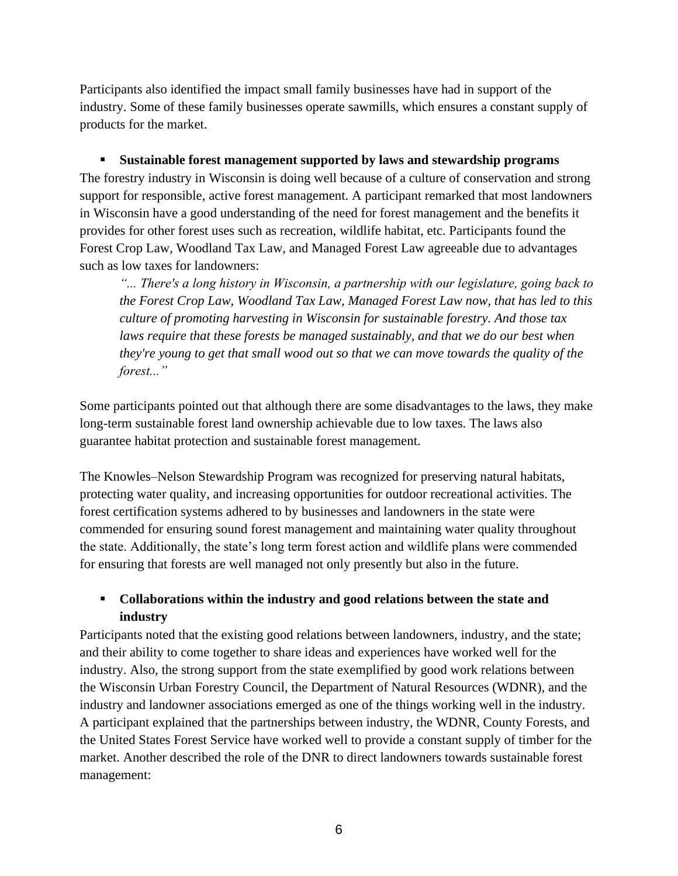Participants also identified the impact small family businesses have had in support of the industry. Some of these family businesses operate sawmills, which ensures a constant supply of products for the market.

▪ **Sustainable forest management supported by laws and stewardship programs**  The forestry industry in Wisconsin is doing well because of a culture of conservation and strong support for responsible, active forest management. A participant remarked that most landowners in Wisconsin have a good understanding of the need for forest management and the benefits it provides for other forest uses such as recreation, wildlife habitat, etc. Participants found the Forest Crop Law, Woodland Tax Law, and Managed Forest Law agreeable due to advantages such as low taxes for landowners:

*"... There's a long history in Wisconsin, a partnership with our legislature, going back to the Forest Crop Law, Woodland Tax Law, Managed Forest Law now, that has led to this culture of promoting harvesting in Wisconsin for sustainable forestry. And those tax laws require that these forests be managed sustainably, and that we do our best when they're young to get that small wood out so that we can move towards the quality of the forest..."*

Some participants pointed out that although there are some disadvantages to the laws, they make long-term sustainable forest land ownership achievable due to low taxes. The laws also guarantee habitat protection and sustainable forest management.

The Knowles–Nelson Stewardship Program was recognized for preserving natural habitats, protecting water quality, and increasing opportunities for outdoor recreational activities. The forest certification systems adhered to by businesses and landowners in the state were commended for ensuring sound forest management and maintaining water quality throughout the state. Additionally, the state's long term forest action and wildlife plans were commended for ensuring that forests are well managed not only presently but also in the future.

# ▪ **Collaborations within the industry and good relations between the state and industry**

Participants noted that the existing good relations between landowners, industry, and the state; and their ability to come together to share ideas and experiences have worked well for the industry. Also, the strong support from the state exemplified by good work relations between the Wisconsin Urban Forestry Council, the Department of Natural Resources (WDNR), and the industry and landowner associations emerged as one of the things working well in the industry. A participant explained that the partnerships between industry, the WDNR, County Forests, and the United States Forest Service have worked well to provide a constant supply of timber for the market. Another described the role of the DNR to direct landowners towards sustainable forest management: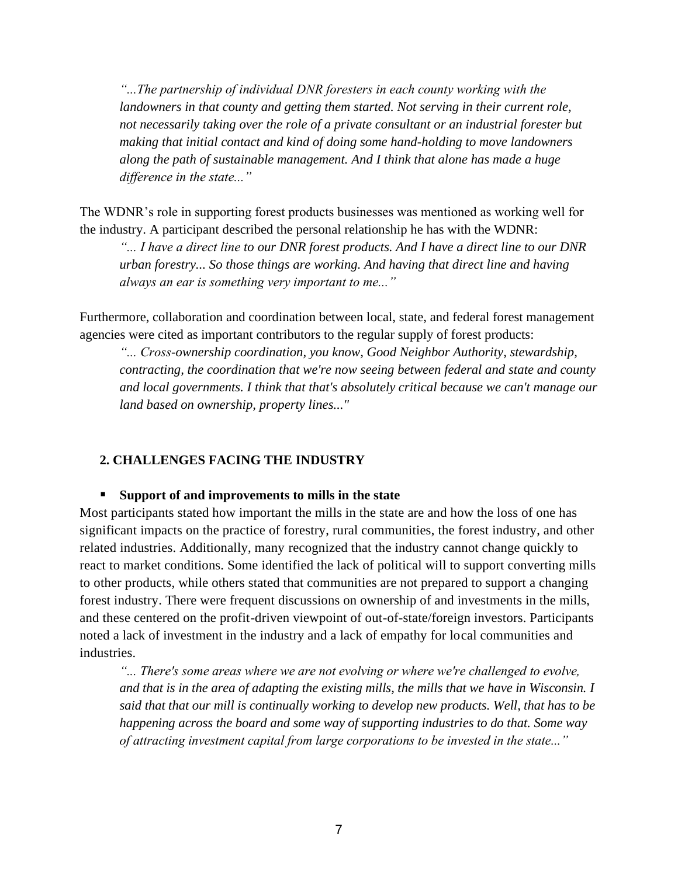*"...The partnership of individual DNR foresters in each county working with the*  landowners in that county and getting them started. Not serving in their current role, *not necessarily taking over the role of a private consultant or an industrial forester but making that initial contact and kind of doing some hand-holding to move landowners along the path of sustainable management. And I think that alone has made a huge difference in the state..."*

The WDNR's role in supporting forest products businesses was mentioned as working well for the industry. A participant described the personal relationship he has with the WDNR:

*"... I have a direct line to our DNR forest products. And I have a direct line to our DNR urban forestry... So those things are working. And having that direct line and having always an ear is something very important to me..."*

Furthermore, collaboration and coordination between local, state, and federal forest management agencies were cited as important contributors to the regular supply of forest products:

*"... Cross-ownership coordination, you know, Good Neighbor Authority, stewardship, contracting, the coordination that we're now seeing between federal and state and county and local governments. I think that that's absolutely critical because we can't manage our land based on ownership, property lines..."*

# **2. CHALLENGES FACING THE INDUSTRY**

#### ▪ **Support of and improvements to mills in the state**

Most participants stated how important the mills in the state are and how the loss of one has significant impacts on the practice of forestry, rural communities, the forest industry, and other related industries. Additionally, many recognized that the industry cannot change quickly to react to market conditions. Some identified the lack of political will to support converting mills to other products, while others stated that communities are not prepared to support a changing forest industry. There were frequent discussions on ownership of and investments in the mills, and these centered on the profit-driven viewpoint of out-of-state/foreign investors. Participants noted a lack of investment in the industry and a lack of empathy for local communities and industries.

*"... There's some areas where we are not evolving or where we're challenged to evolve, and that is in the area of adapting the existing mills, the mills that we have in Wisconsin. I said that that our mill is continually working to develop new products. Well, that has to be happening across the board and some way of supporting industries to do that. Some way of attracting investment capital from large corporations to be invested in the state..."*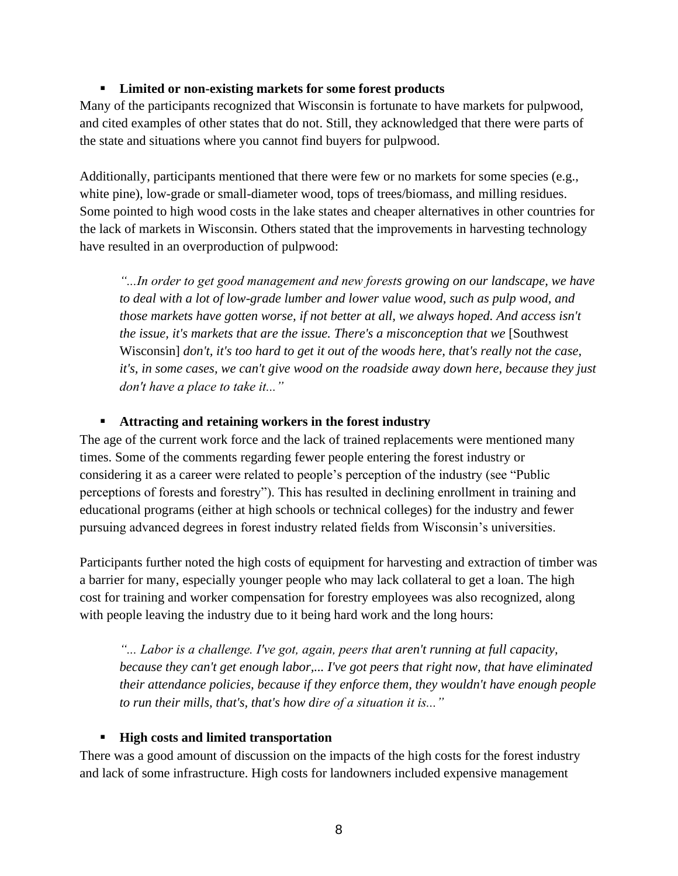# ▪ **Limited or non-existing markets for some forest products**

Many of the participants recognized that Wisconsin is fortunate to have markets for pulpwood, and cited examples of other states that do not. Still, they acknowledged that there were parts of the state and situations where you cannot find buyers for pulpwood.

Additionally, participants mentioned that there were few or no markets for some species (e.g., white pine), low-grade or small-diameter wood, tops of trees/biomass, and milling residues. Some pointed to high wood costs in the lake states and cheaper alternatives in other countries for the lack of markets in Wisconsin. Others stated that the improvements in harvesting technology have resulted in an overproduction of pulpwood:

*"...In order to get good management and new forests growing on our landscape, we have to deal with a lot of low-grade lumber and lower value wood, such as pulp wood, and those markets have gotten worse, if not better at all, we always hoped. And access isn't the issue, it's markets that are the issue. There's a misconception that we* [Southwest] Wisconsin] *don't, it's too hard to get it out of the woods here, that's really not the case, it's, in some cases, we can't give wood on the roadside away down here, because they just don't have a place to take it..."*

# ▪ **Attracting and retaining workers in the forest industry**

The age of the current work force and the lack of trained replacements were mentioned many times. Some of the comments regarding fewer people entering the forest industry or considering it as a career were related to people's perception of the industry (see "Public perceptions of forests and forestry"). This has resulted in declining enrollment in training and educational programs (either at high schools or technical colleges) for the industry and fewer pursuing advanced degrees in forest industry related fields from Wisconsin's universities.

Participants further noted the high costs of equipment for harvesting and extraction of timber was a barrier for many, especially younger people who may lack collateral to get a loan. The high cost for training and worker compensation for forestry employees was also recognized, along with people leaving the industry due to it being hard work and the long hours:

*"... Labor is a challenge. I've got, again, peers that aren't running at full capacity, because they can't get enough labor,... I've got peers that right now, that have eliminated their attendance policies, because if they enforce them, they wouldn't have enough people to run their mills, that's, that's how dire of a situation it is..."*

#### ▪ **High costs and limited transportation**

There was a good amount of discussion on the impacts of the high costs for the forest industry and lack of some infrastructure. High costs for landowners included expensive management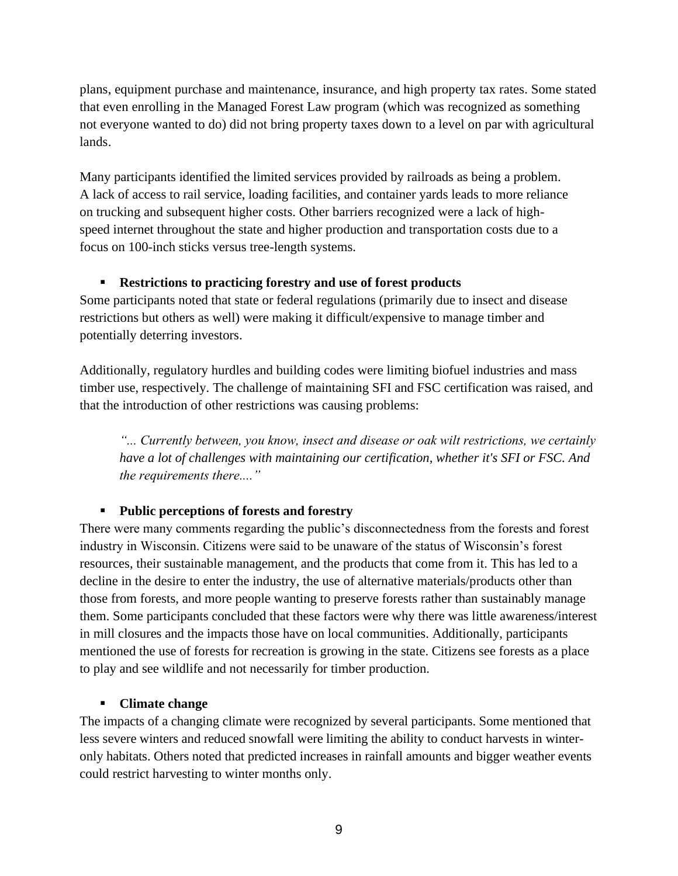plans, equipment purchase and maintenance, insurance, and high property tax rates. Some stated that even enrolling in the Managed Forest Law program (which was recognized as something not everyone wanted to do) did not bring property taxes down to a level on par with agricultural lands.

Many participants identified the limited services provided by railroads as being a problem. A lack of access to rail service, loading facilities, and container yards leads to more reliance on trucking and subsequent higher costs. Other barriers recognized were a lack of highspeed internet throughout the state and higher production and transportation costs due to a focus on 100-inch sticks versus tree-length systems.

# ▪ **Restrictions to practicing forestry and use of forest products**

Some participants noted that state or federal regulations (primarily due to insect and disease restrictions but others as well) were making it difficult/expensive to manage timber and potentially deterring investors.

Additionally, regulatory hurdles and building codes were limiting biofuel industries and mass timber use, respectively. The challenge of maintaining SFI and FSC certification was raised, and that the introduction of other restrictions was causing problems:

*"... Currently between, you know, insect and disease or oak wilt restrictions, we certainly have a lot of challenges with maintaining our certification, whether it's SFI or FSC. And the requirements there...."*

# ▪ **Public perceptions of forests and forestry**

There were many comments regarding the public's disconnectedness from the forests and forest industry in Wisconsin. Citizens were said to be unaware of the status of Wisconsin's forest resources, their sustainable management, and the products that come from it. This has led to a decline in the desire to enter the industry, the use of alternative materials/products other than those from forests, and more people wanting to preserve forests rather than sustainably manage them. Some participants concluded that these factors were why there was little awareness/interest in mill closures and the impacts those have on local communities. Additionally, participants mentioned the use of forests for recreation is growing in the state. Citizens see forests as a place to play and see wildlife and not necessarily for timber production.

# ▪ **Climate change**

The impacts of a changing climate were recognized by several participants. Some mentioned that less severe winters and reduced snowfall were limiting the ability to conduct harvests in winteronly habitats. Others noted that predicted increases in rainfall amounts and bigger weather events could restrict harvesting to winter months only.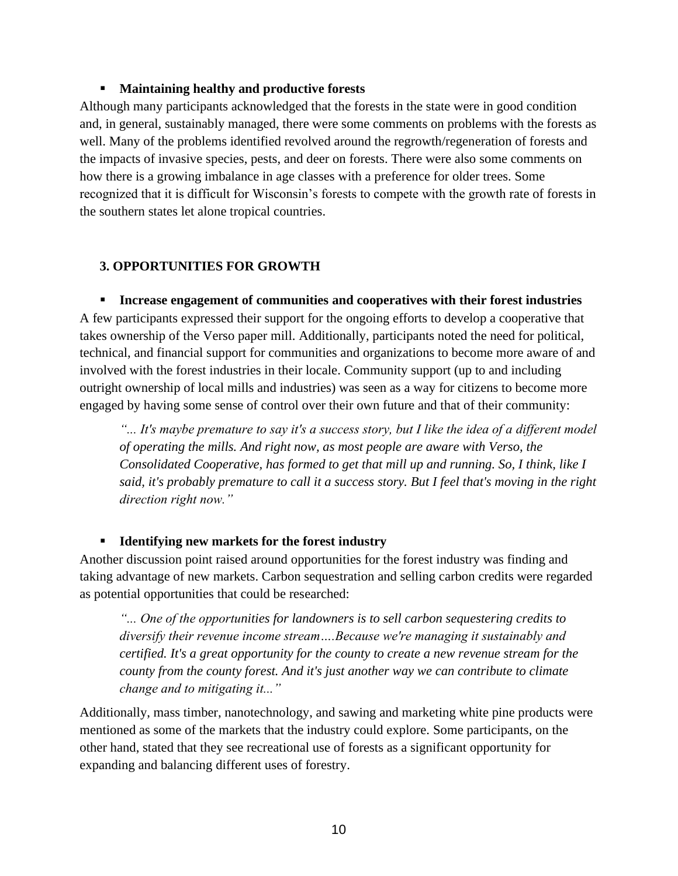# ▪ **Maintaining healthy and productive forests**

Although many participants acknowledged that the forests in the state were in good condition and, in general, sustainably managed, there were some comments on problems with the forests as well. Many of the problems identified revolved around the regrowth/regeneration of forests and the impacts of invasive species, pests, and deer on forests. There were also some comments on how there is a growing imbalance in age classes with a preference for older trees. Some recognized that it is difficult for Wisconsin's forests to compete with the growth rate of forests in the southern states let alone tropical countries.

# **3. OPPORTUNITIES FOR GROWTH**

▪ **Increase engagement of communities and cooperatives with their forest industries** A few participants expressed their support for the ongoing efforts to develop a cooperative that takes ownership of the Verso paper mill. Additionally, participants noted the need for political, technical, and financial support for communities and organizations to become more aware of and involved with the forest industries in their locale. Community support (up to and including outright ownership of local mills and industries) was seen as a way for citizens to become more engaged by having some sense of control over their own future and that of their community:

*"... It's maybe premature to say it's a success story, but I like the idea of a different model of operating the mills. And right now, as most people are aware with Verso, the Consolidated Cooperative, has formed to get that mill up and running. So, I think, like I said, it's probably premature to call it a success story. But I feel that's moving in the right direction right now."*

# ▪ **Identifying new markets for the forest industry**

Another discussion point raised around opportunities for the forest industry was finding and taking advantage of new markets. Carbon sequestration and selling carbon credits were regarded as potential opportunities that could be researched:

*"... One of the opportunities for landowners is to sell carbon sequestering credits to diversify their revenue income stream….Because we're managing it sustainably and certified. It's a great opportunity for the county to create a new revenue stream for the county from the county forest. And it's just another way we can contribute to climate change and to mitigating it..."*

Additionally, mass timber, nanotechnology, and sawing and marketing white pine products were mentioned as some of the markets that the industry could explore. Some participants, on the other hand, stated that they see recreational use of forests as a significant opportunity for expanding and balancing different uses of forestry.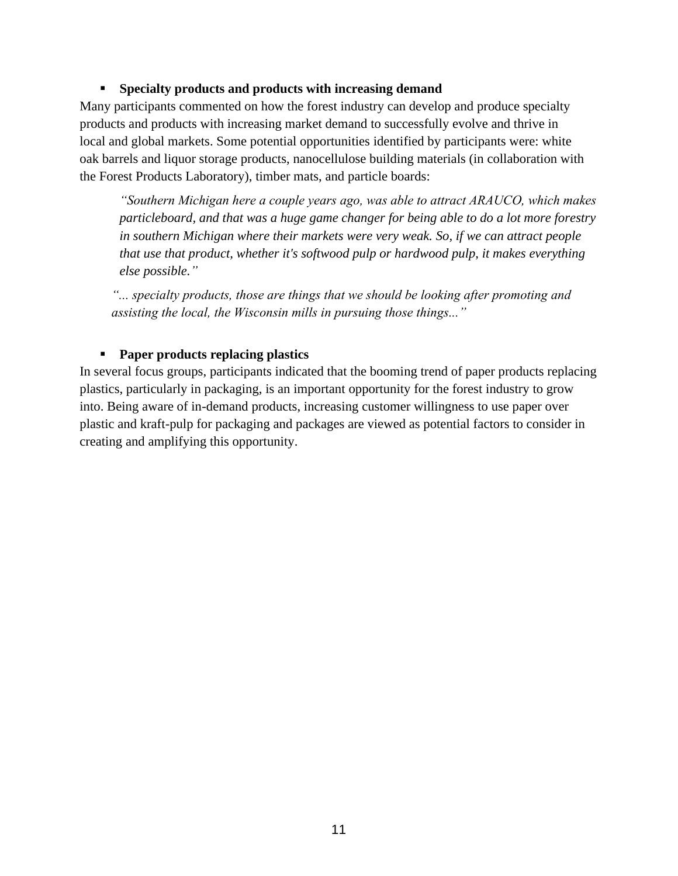# ▪ **Specialty products and products with increasing demand**

Many participants commented on how the forest industry can develop and produce specialty products and products with increasing market demand to successfully evolve and thrive in local and global markets. Some potential opportunities identified by participants were: white oak barrels and liquor storage products, nanocellulose building materials (in collaboration with the Forest Products Laboratory), timber mats, and particle boards:

*"Southern Michigan here a couple years ago, was able to attract ARAUCO, which makes particleboard, and that was a huge game changer for being able to do a lot more forestry in southern Michigan where their markets were very weak. So, if we can attract people that use that product, whether it's softwood pulp or hardwood pulp, it makes everything else possible."*

*"... specialty products, those are things that we should be looking after promoting and assisting the local, the Wisconsin mills in pursuing those things..."*

# ▪ **Paper products replacing plastics**

In several focus groups, participants indicated that the booming trend of paper products replacing plastics, particularly in packaging, is an important opportunity for the forest industry to grow into. Being aware of in-demand products, increasing customer willingness to use paper over plastic and kraft-pulp for packaging and packages are viewed as potential factors to consider in creating and amplifying this opportunity.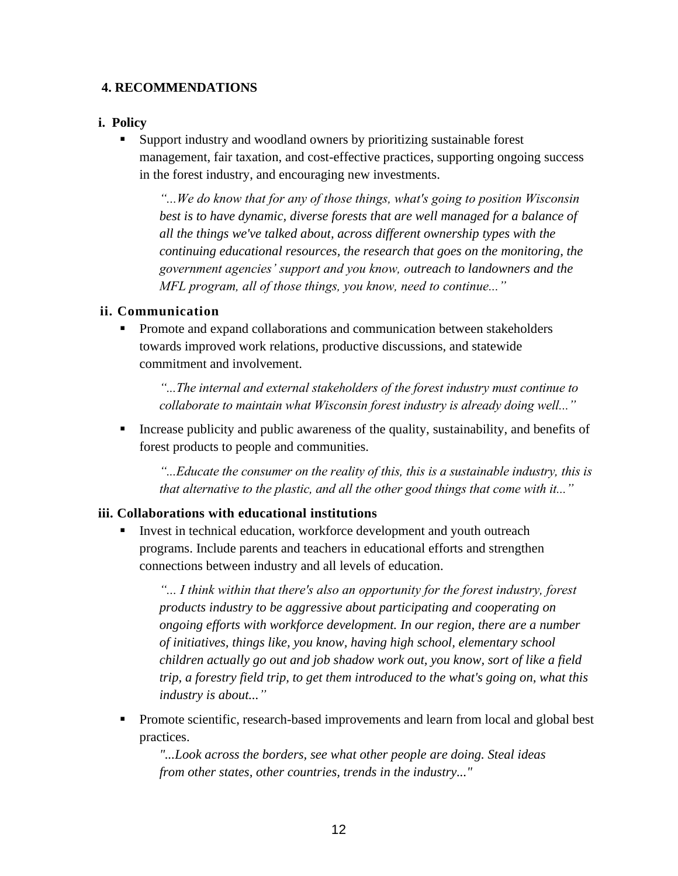# **4. RECOMMENDATIONS**

#### **i. Policy**

Support industry and woodland owners by prioritizing sustainable forest management, fair taxation, and cost-effective practices, supporting ongoing success in the forest industry, and encouraging new investments.

*"...We do know that for any of those things, what's going to position Wisconsin best is to have dynamic, diverse forests that are well managed for a balance of all the things we've talked about, across different ownership types with the continuing educational resources, the research that goes on the monitoring, the government agencies' support and you know, outreach to landowners and the MFL program, all of those things, you know, need to continue..."*

#### **ii. Communication**

**•** Promote and expand collaborations and communication between stakeholders towards improved work relations, productive discussions, and statewide commitment and involvement.

*"...The internal and external stakeholders of the forest industry must continue to collaborate to maintain what Wisconsin forest industry is already doing well..."*

■ Increase publicity and public awareness of the quality, sustainability, and benefits of forest products to people and communities.

*"...Educate the consumer on the reality of this, this is a sustainable industry, this is that alternative to the plastic, and all the other good things that come with it..."*

#### **iii. Collaborations with educational institutions**

Invest in technical education, workforce development and youth outreach programs. Include parents and teachers in educational efforts and strengthen connections between industry and all levels of education.

*"... I think within that there's also an opportunity for the forest industry, forest products industry to be aggressive about participating and cooperating on ongoing efforts with workforce development. In our region, there are a number of initiatives, things like, you know, having high school, elementary school children actually go out and job shadow work out, you know, sort of like a field trip, a forestry field trip, to get them introduced to the what's going on, what this industry is about..."*

• Promote scientific, research-based improvements and learn from local and global best practices.

*"...Look across the borders, see what other people are doing. Steal ideas from other states, other countries, trends in the industry..."*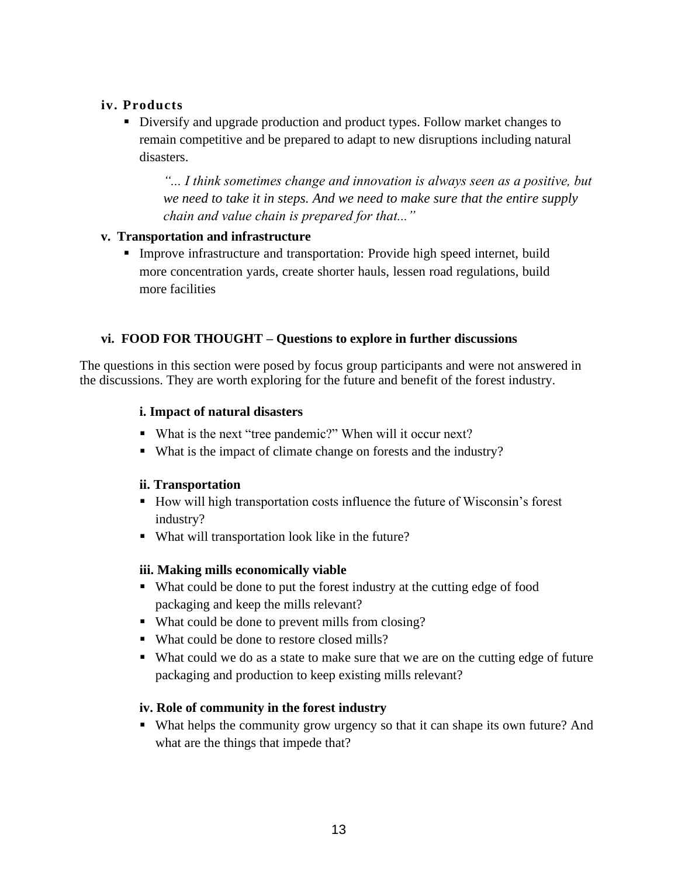# **iv. Products**

**EXECUTE:** Diversify and upgrade production and product types. Follow market changes to remain competitive and be prepared to adapt to new disruptions including natural disasters.

*"... I think sometimes change and innovation is always seen as a positive, but we need to take it in steps. And we need to make sure that the entire supply chain and value chain is prepared for that..."*

#### **v. Transportation and infrastructure**

▪ Improve infrastructure and transportation: Provide high speed internet, build more concentration yards, create shorter hauls, lessen road regulations, build more facilities

# **vi. FOOD FOR THOUGHT – Questions to explore in further discussions**

The questions in this section were posed by focus group participants and were not answered in the discussions. They are worth exploring for the future and benefit of the forest industry.

#### **i. Impact of natural disasters**

- What is the next "tree pandemic?" When will it occur next?
- What is the impact of climate change on forests and the industry?

#### **ii. Transportation**

- How will high transportation costs influence the future of Wisconsin's forest industry?
- What will transportation look like in the future?

#### **iii. Making mills economically viable**

- What could be done to put the forest industry at the cutting edge of food packaging and keep the mills relevant?
- What could be done to prevent mills from closing?
- What could be done to restore closed mills?
- What could we do as a state to make sure that we are on the cutting edge of future packaging and production to keep existing mills relevant?

#### **iv. Role of community in the forest industry**

▪ What helps the community grow urgency so that it can shape its own future? And what are the things that impede that?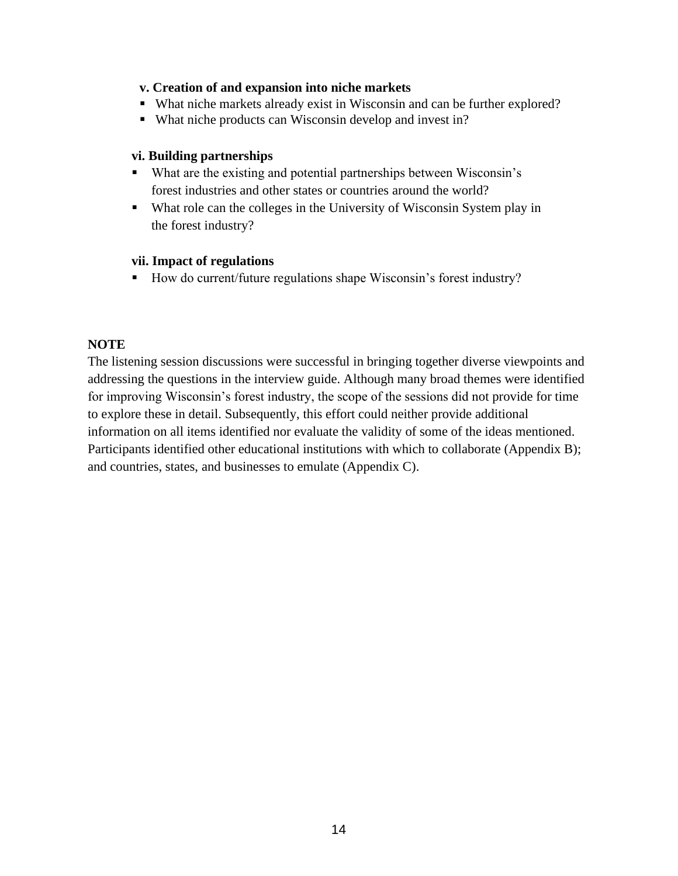#### **v. Creation of and expansion into niche markets**

- What niche markets already exist in Wisconsin and can be further explored?
- What niche products can Wisconsin develop and invest in?

#### **vi. Building partnerships**

- What are the existing and potential partnerships between Wisconsin's forest industries and other states or countries around the world?
- What role can the colleges in the University of Wisconsin System play in the forest industry?

#### **vii. Impact of regulations**

■ How do current/future regulations shape Wisconsin's forest industry?

# **NOTE**

The listening session discussions were successful in bringing together diverse viewpoints and addressing the questions in the interview guide. Although many broad themes were identified for improving Wisconsin's forest industry, the scope of the sessions did not provide for time to explore these in detail. Subsequently, this effort could neither provide additional information on all items identified nor evaluate the validity of some of the ideas mentioned. Participants identified other educational institutions with which to collaborate (Appendix B); and countries, states, and businesses to emulate (Appendix C).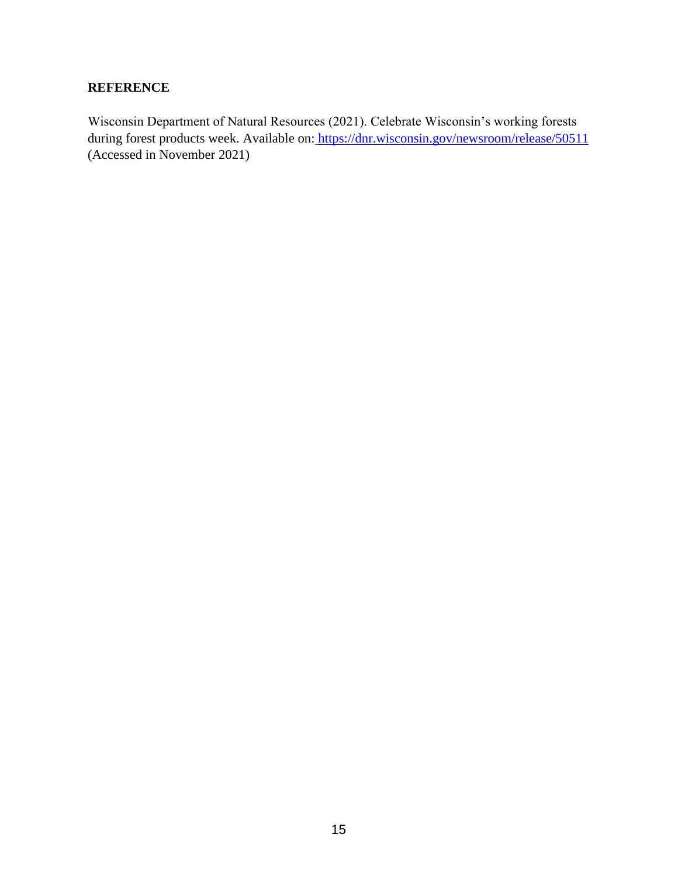# **REFERENCE**

Wisconsin Department of Natural Resources (2021). Celebrate Wisconsin's working forests during forest products week. Available on: https://dnr.wisconsin.gov/newsroom/release/50511 (Accessed in November 2021)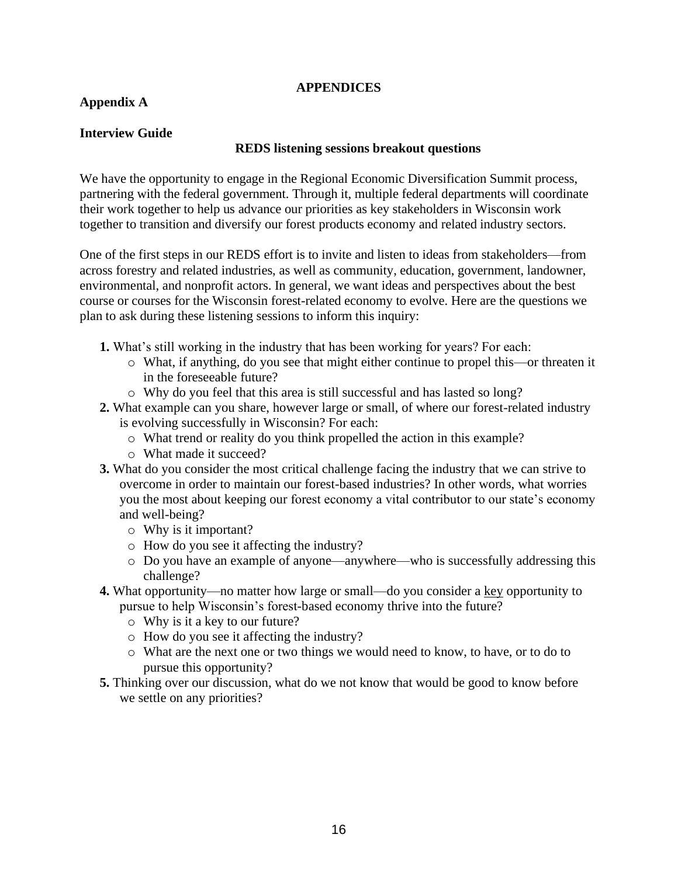#### **APPENDICES**

# **Appendix A**

# **Interview Guide**

#### **REDS listening sessions breakout questions**

We have the opportunity to engage in the Regional Economic Diversification Summit process, partnering with the federal government. Through it, multiple federal departments will coordinate their work together to help us advance our priorities as key stakeholders in Wisconsin work together to transition and diversify our forest products economy and related industry sectors.

One of the first steps in our REDS effort is to invite and listen to ideas from stakeholders—from across forestry and related industries, as well as community, education, government, landowner, environmental, and nonprofit actors. In general, we want ideas and perspectives about the best course or courses for the Wisconsin forest-related economy to evolve. Here are the questions we plan to ask during these listening sessions to inform this inquiry:

- **1.** What's still working in the industry that has been working for years? For each:
	- o What, if anything, do you see that might either continue to propel this—or threaten it in the foreseeable future?
	- o Why do you feel that this area is still successful and has lasted so long?
- **2.** What example can you share, however large or small, of where our forest-related industry is evolving successfully in Wisconsin? For each:
	- o What trend or reality do you think propelled the action in this example?
	- o What made it succeed?
- **3.** What do you consider the most critical challenge facing the industry that we can strive to overcome in order to maintain our forest-based industries? In other words, what worries you the most about keeping our forest economy a vital contributor to our state's economy and well-being?
	- o Why is it important?
	- o How do you see it affecting the industry?
	- o Do you have an example of anyone—anywhere—who is successfully addressing this challenge?
- **4.** What opportunity—no matter how large or small—do you consider a key opportunity to pursue to help Wisconsin's forest-based economy thrive into the future?
	- o Why is it a key to our future?
	- o How do you see it affecting the industry?
	- o What are the next one or two things we would need to know, to have, or to do to pursue this opportunity?
- **5.** Thinking over our discussion, what do we not know that would be good to know before we settle on any priorities?